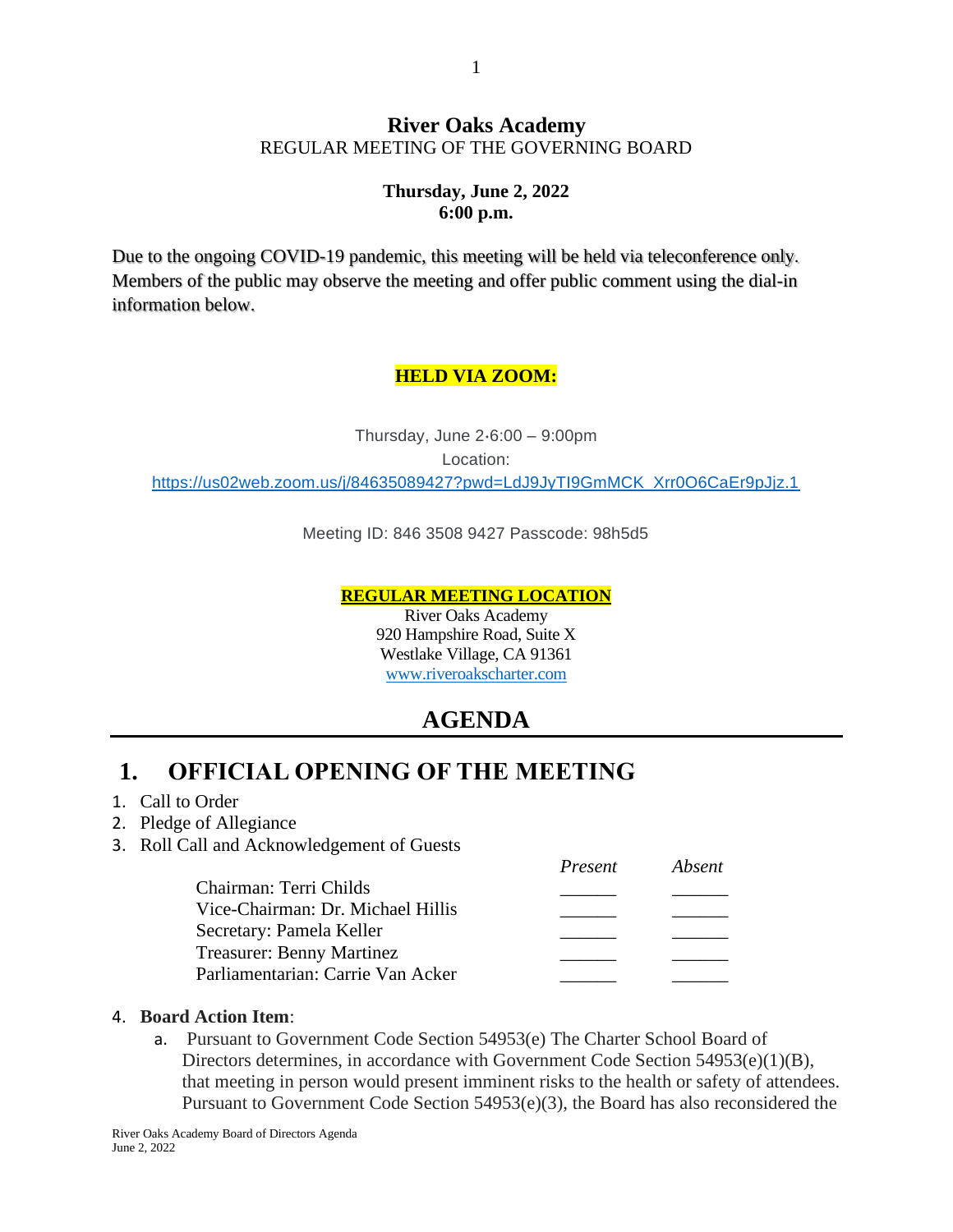#### **River Oaks Academy** REGULAR MEETING OF THE GOVERNING BOARD

#### **Thursday, June 2, 2022 6:00 p.m.**

Due to the ongoing COVID-19 pandemic, this meeting will be held via teleconference only. Members of the public may observe the meeting and offer public comment using the dial-in information below.

### **HELD VIA ZOOM:**

Thursday, June 2⋅6:00 – 9:00pm Location: [https://us02web.zoom.us/j/84635089427?pwd=LdJ9JyTI9GmMCK\\_Xrr0O6CaEr9pJjz.1](https://us02web.zoom.us/j/84635089427?pwd=LdJ9JyTI9GmMCK_Xrr0O6CaEr9pJjz.1)

Meeting ID: 846 3508 9427 Passcode: 98h5d5

#### **REGULAR MEETING LOCATION**

River Oaks Academy 920 Hampshire Road, Suite X Westlake Village, CA 91361 [www.riveroakscharter.com](http://www.riveroakscharter.com/)

## **AGENDA**

## **1. OFFICIAL OPENING OF THE MEETING**

- 1. Call to Order
- 2. Pledge of Allegiance
- 3. Roll Call and Acknowledgement of Guests

|                                   | $\overline{1}$ resemble $\overline{1}$ |  |
|-----------------------------------|----------------------------------------|--|
| Chairman: Terri Childs            |                                        |  |
| Vice-Chairman: Dr. Michael Hillis |                                        |  |
| Secretary: Pamela Keller          |                                        |  |
| <b>Treasurer: Benny Martinez</b>  |                                        |  |
| Parliamentarian: Carrie Van Acker |                                        |  |
|                                   |                                        |  |

#### 4. **Board Action Item**:

a. Pursuant to Government Code Section 54953(e) The Charter School Board of Directors determines, in accordance with Government Code Section 54953(e)(1)(B), that meeting in person would present imminent risks to the health or safety of attendees. Pursuant to Government Code Section 54953(e)(3), the Board has also reconsidered the

*Present Absent*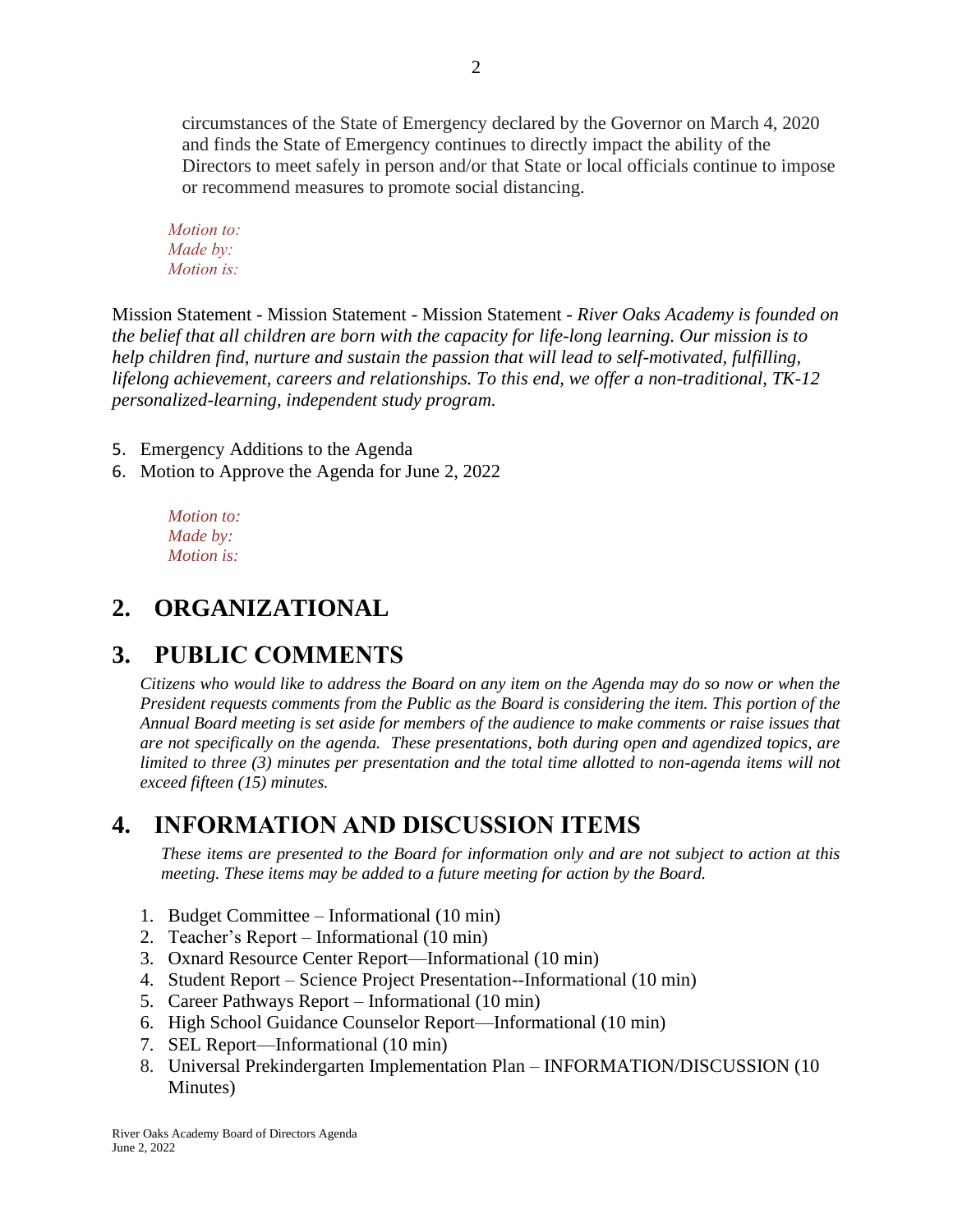circumstances of the State of Emergency declared by the Governor on March 4, 2020 and finds the State of Emergency continues to directly impact the ability of the Directors to meet safely in person and/or that State or local officials continue to impose or recommend measures to promote social distancing.

*Motion to: Made by: Motion is:*

Mission Statement - Mission Statement - Mission Statement - *River Oaks Academy is founded on the belief that all children are born with the capacity for life-long learning. Our mission is to help children find, nurture and sustain the passion that will lead to self-motivated, fulfilling, lifelong achievement, careers and relationships. To this end, we offer a non-traditional, TK-12 personalized-learning, independent study program.*

5. Emergency Additions to the Agenda

6. Motion to Approve the Agenda for June 2, 2022

*Motion to: Made by: Motion is:*

## **2. ORGANIZATIONAL**

## **3. PUBLIC COMMENTS**

*Citizens who would like to address the Board on any item on the Agenda may do so now or when the President requests comments from the Public as the Board is considering the item. This portion of the Annual Board meeting is set aside for members of the audience to make comments or raise issues that are not specifically on the agenda. These presentations, both during open and agendized topics, are limited to three (3) minutes per presentation and the total time allotted to non-agenda items will not exceed fifteen (15) minutes.*

### **4. INFORMATION AND DISCUSSION ITEMS**

*These items are presented to the Board for information only and are not subject to action at this meeting. These items may be added to a future meeting for action by the Board.*

- 1. Budget Committee Informational (10 min)
- 2. Teacher's Report Informational (10 min)
- 3. Oxnard Resource Center Report—Informational (10 min)
- 4. Student Report Science Project Presentation--Informational (10 min)
- 5. Career Pathways Report Informational (10 min)
- 6. High School Guidance Counselor Report—Informational (10 min)
- 7. SEL Report—Informational (10 min)
- 8. Universal Prekindergarten Implementation Plan INFORMATION/DISCUSSION (10 Minutes)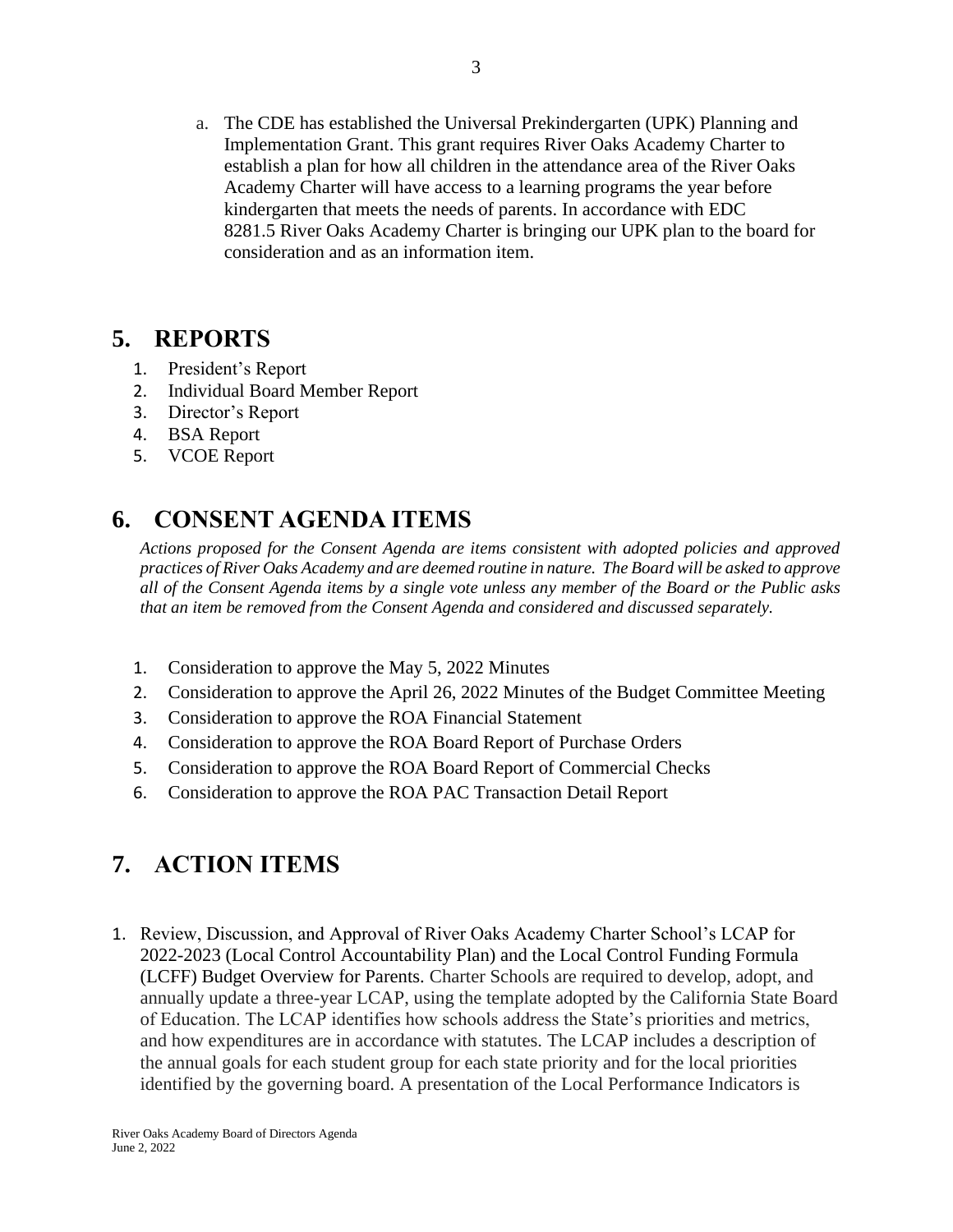a. The CDE has established the Universal Prekindergarten (UPK) Planning and Implementation Grant. This grant requires River Oaks Academy Charter to establish a plan for how all children in the attendance area of the River Oaks Academy Charter will have access to a learning programs the year before kindergarten that meets the needs of parents. In accordance with EDC 8281.5 River Oaks Academy Charter is bringing our UPK plan to the board for consideration and as an information item.

### **5. REPORTS**

- 1. President's Report
- 2. Individual Board Member Report
- 3. Director's Report
- 4. BSA Report
- 5. VCOE Report

## **6. CONSENT AGENDA ITEMS**

*Actions proposed for the Consent Agenda are items consistent with adopted policies and approved practices of River Oaks Academy and are deemed routine in nature. The Board will be asked to approve all of the Consent Agenda items by a single vote unless any member of the Board or the Public asks that an item be removed from the Consent Agenda and considered and discussed separately.*

- 1. Consideration to approve the May 5, 2022 Minutes
- 2. Consideration to approve the April 26, 2022 Minutes of the Budget Committee Meeting
- 3. Consideration to approve the ROA Financial Statement
- 4. Consideration to approve the ROA Board Report of Purchase Orders
- 5. Consideration to approve the ROA Board Report of Commercial Checks
- 6. Consideration to approve the ROA PAC Transaction Detail Report

# **7. ACTION ITEMS**

1. Review, Discussion, and Approval of River Oaks Academy Charter School's LCAP for 2022-2023 (Local Control Accountability Plan) and the Local Control Funding Formula (LCFF) Budget Overview for Parents. Charter Schools are required to develop, adopt, and annually update a three-year LCAP, using the template adopted by the California State Board of Education. The LCAP identifies how schools address the State's priorities and metrics, and how expenditures are in accordance with statutes. The LCAP includes a description of the annual goals for each student group for each state priority and for the local priorities identified by the governing board. A presentation of the Local Performance Indicators is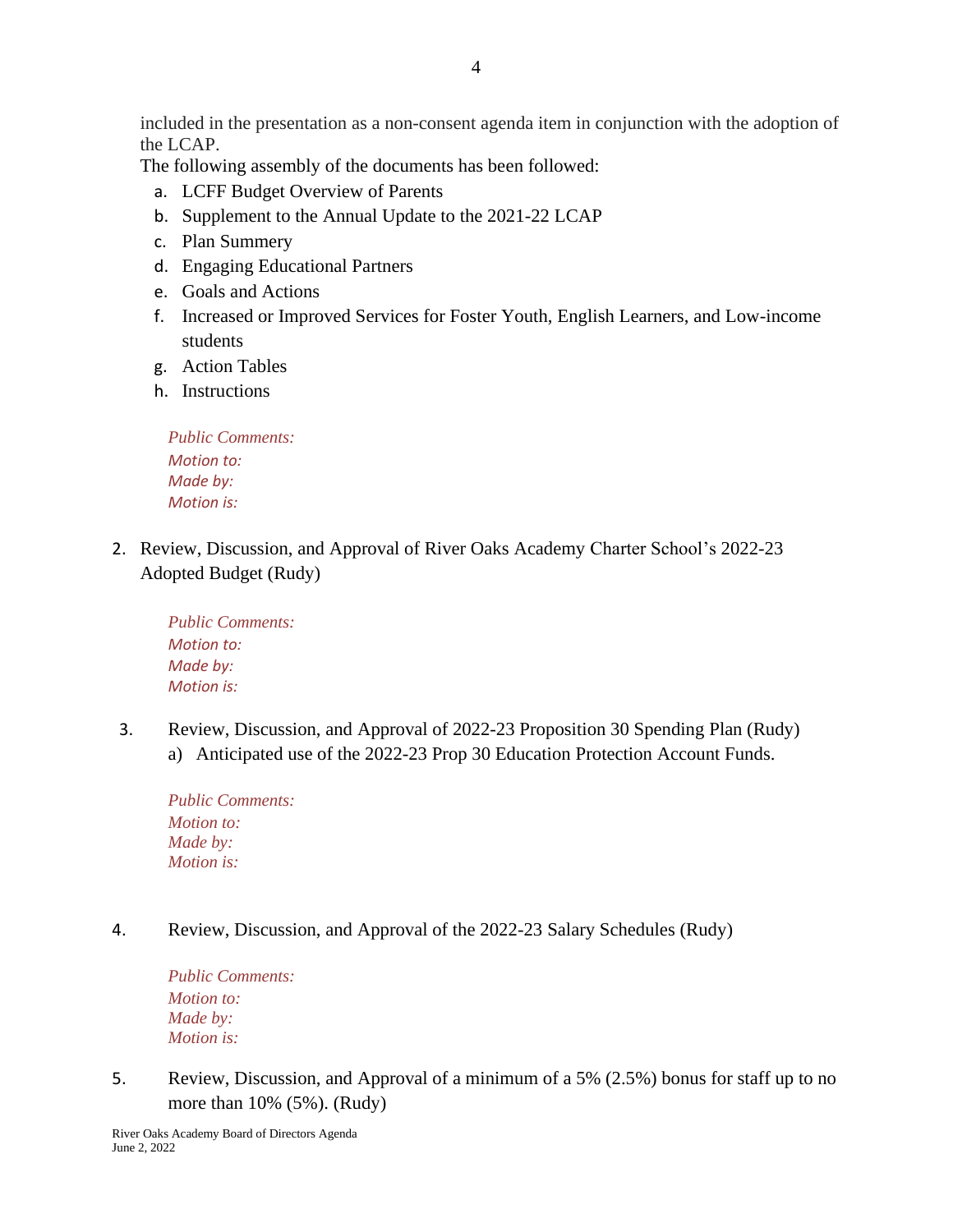included in the presentation as a non-consent agenda item in conjunction with the adoption of the LCAP.

The following assembly of the documents has been followed:

- a. LCFF Budget Overview of Parents
- b. Supplement to the Annual Update to the 2021-22 LCAP
- c. Plan Summery
- d. Engaging Educational Partners
- e. Goals and Actions
- f. Increased or Improved Services for Foster Youth, English Learners, and Low-income students
- g. Action Tables
- h. Instructions

| <i>Public Comments:</i> |
|-------------------------|
| <b>Motion to:</b>       |
| Made by:                |
| <b>Motion is:</b>       |

2. Review, Discussion, and Approval of River Oaks Academy Charter School's 2022-23 Adopted Budget (Rudy)

*Public Comments: Motion to: Made by: Motion is:*

3. Review, Discussion, and Approval of 2022-23 Proposition 30 Spending Plan (Rudy) a) Anticipated use of the 2022-23 Prop 30 Education Protection Account Funds.

*Public Comments: Motion to: Made by: Motion is:*

4. Review, Discussion, and Approval of the 2022-23 Salary Schedules (Rudy)

*Public Comments: Motion to: Made by: Motion is:*

5. Review, Discussion, and Approval of a minimum of a 5% (2.5%) bonus for staff up to no more than 10% (5%). (Rudy)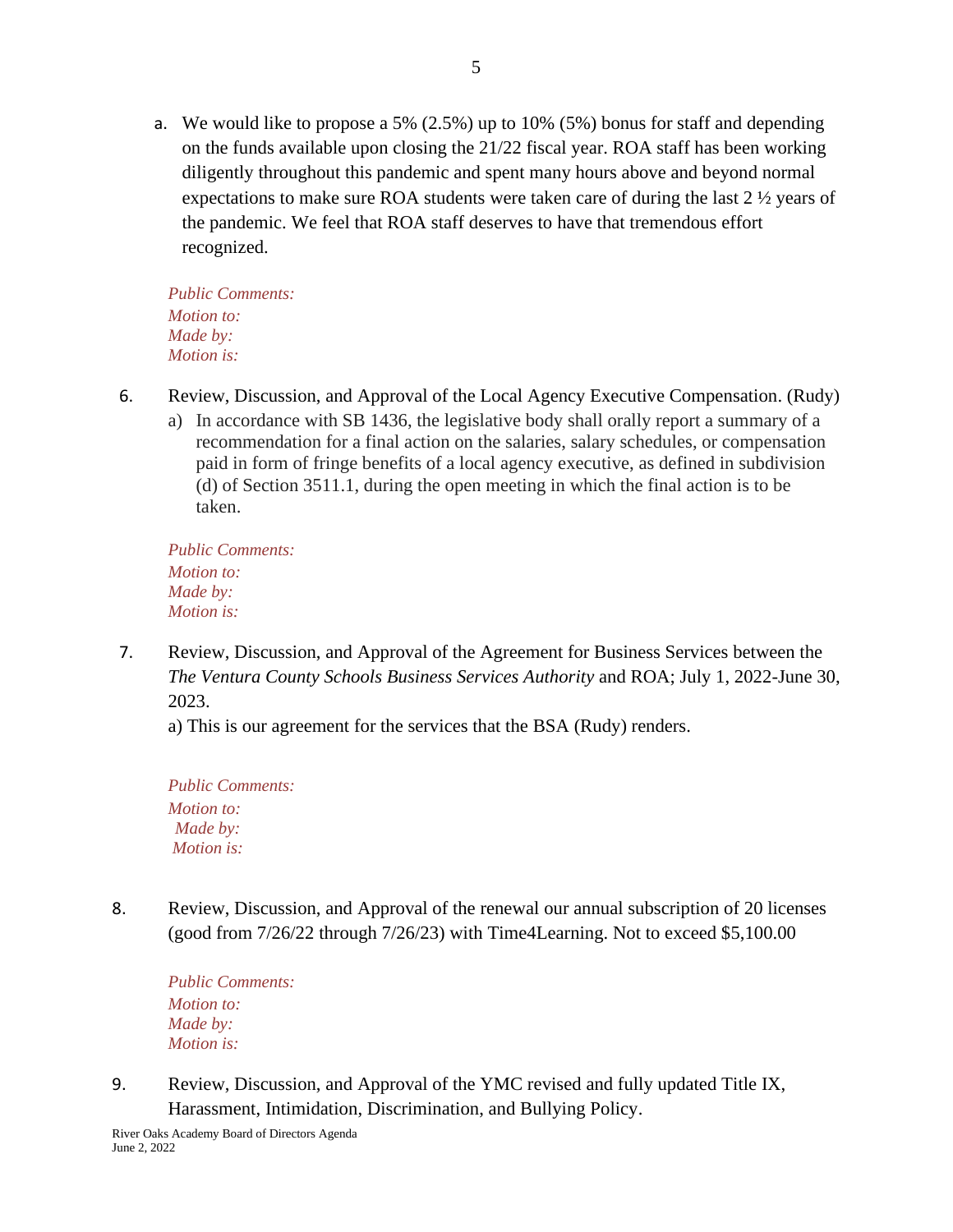a. We would like to propose a 5% (2.5%) up to 10% (5%) bonus for staff and depending on the funds available upon closing the 21/22 fiscal year. ROA staff has been working diligently throughout this pandemic and spent many hours above and beyond normal expectations to make sure ROA students were taken care of during the last 2 ½ years of the pandemic. We feel that ROA staff deserves to have that tremendous effort recognized.

*Public Comments: Motion to: Made by: Motion is:*

- 6. Review, Discussion, and Approval of the Local Agency Executive Compensation. (Rudy)
	- a) In accordance with SB 1436, the legislative body shall orally report a summary of a recommendation for a final action on the salaries, salary schedules, or compensation paid in form of fringe benefits of a local agency executive, as defined in subdivision (d) of Section 3511.1, during the open meeting in which the final action is to be taken.

*Public Comments: Motion to: Made by: Motion is:*

7. Review, Discussion, and Approval of the Agreement for Business Services between the *The Ventura County Schools Business Services Authority* and ROA; July 1, 2022-June 30, 2023.

a) This is our agreement for the services that the BSA (Rudy) renders.

*Public Comments: Motion to: Made by: Motion is:*

8. Review, Discussion, and Approval of the renewal our annual subscription of 20 licenses (good from 7/26/22 through 7/26/23) with Time4Learning. Not to exceed \$5,100.00

*Public Comments: Motion to: Made by: Motion is:*

9. Review, Discussion, and Approval of the YMC revised and fully updated Title IX, Harassment, Intimidation, Discrimination, and Bullying Policy.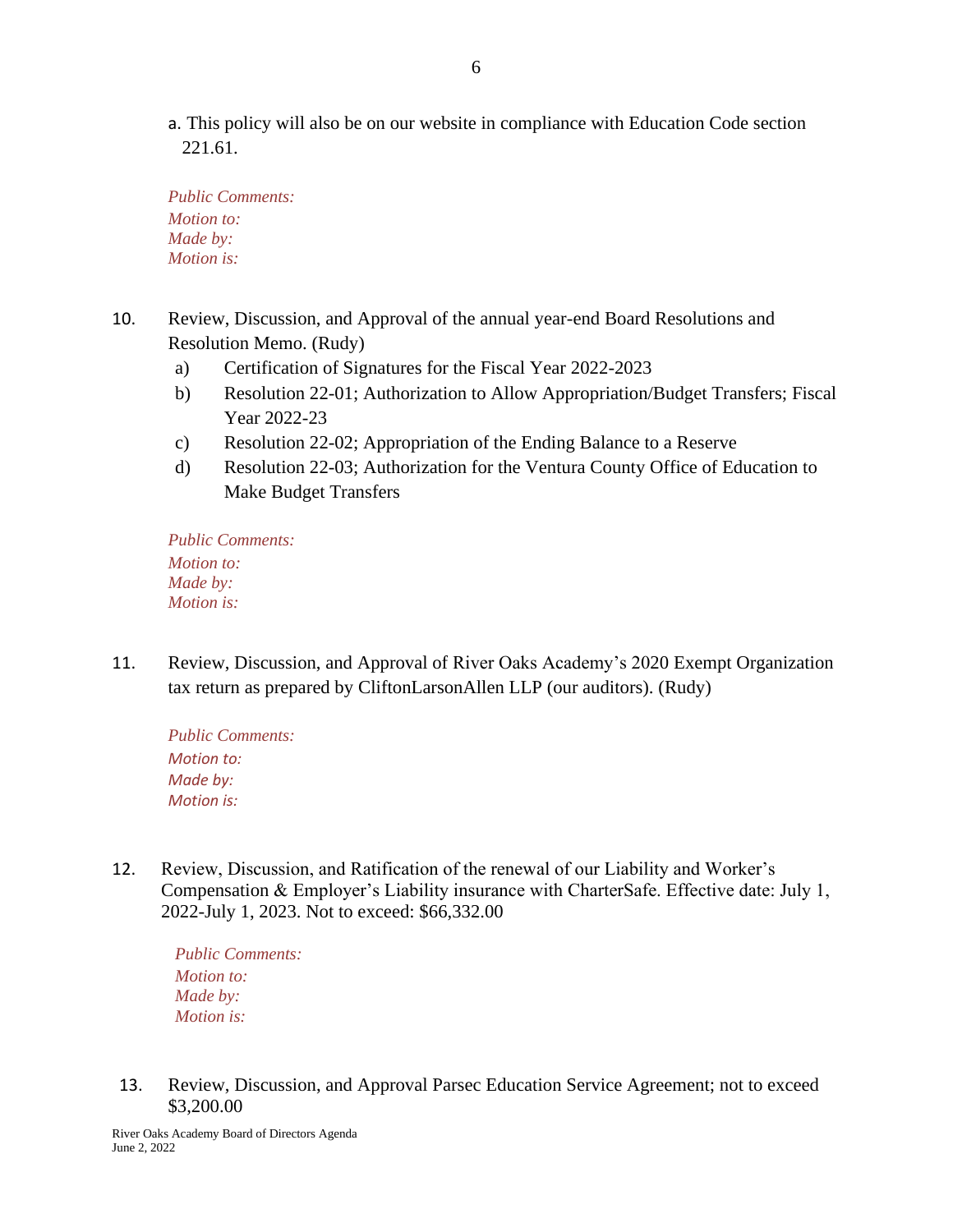a. This policy will also be on our website in compliance with Education Code section 221.61.

*Public Comments: Motion to: Made by: Motion is:*

- 10. Review, Discussion, and Approval of the annual year-end Board Resolutions and Resolution Memo. (Rudy)
	- a) Certification of Signatures for the Fiscal Year 2022-2023
	- b) Resolution 22-01; Authorization to Allow Appropriation/Budget Transfers; Fiscal Year 2022-23
	- c) Resolution 22-02; Appropriation of the Ending Balance to a Reserve
	- d) Resolution 22-03; Authorization for the Ventura County Office of Education to Make Budget Transfers

*Public Comments: Motion to: Made by: Motion is:*

11. Review, Discussion, and Approval of River Oaks Academy's 2020 Exempt Organization tax return as prepared by CliftonLarsonAllen LLP (our auditors). (Rudy)

*Public Comments: Motion to: Made by: Motion is:*

12. Review, Discussion, and Ratification of the renewal of our Liability and Worker's Compensation & Employer's Liability insurance with CharterSafe. Effective date: July 1, 2022-July 1, 2023. Not to exceed: \$66,332.00

*Public Comments: Motion to: Made by: Motion is:*

13. Review, Discussion, and Approval Parsec Education Service Agreement; not to exceed \$3,200.00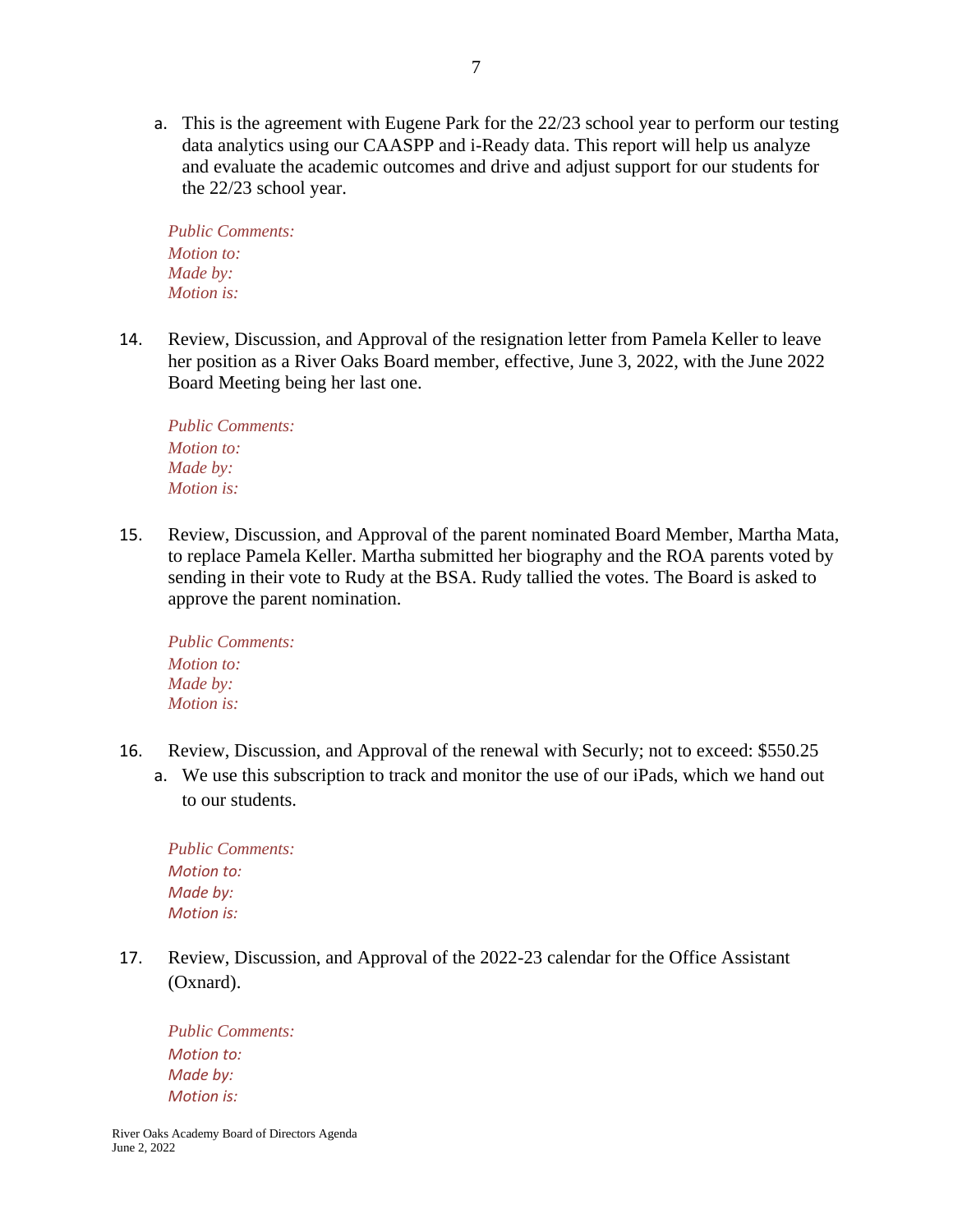a. This is the agreement with Eugene Park for the 22/23 school year to perform our testing data analytics using our CAASPP and i-Ready data. This report will help us analyze and evaluate the academic outcomes and drive and adjust support for our students for the 22/23 school year.

*Public Comments: Motion to: Made by: Motion is:*

14. Review, Discussion, and Approval of the resignation letter from Pamela Keller to leave her position as a River Oaks Board member, effective, June 3, 2022, with the June 2022 Board Meeting being her last one.

*Public Comments: Motion to: Made by: Motion is:*

15. Review, Discussion, and Approval of the parent nominated Board Member, Martha Mata, to replace Pamela Keller. Martha submitted her biography and the ROA parents voted by sending in their vote to Rudy at the BSA. Rudy tallied the votes. The Board is asked to approve the parent nomination.

*Public Comments: Motion to: Made by: Motion is:*

- 16. Review, Discussion, and Approval of the renewal with Securly; not to exceed: \$550.25
	- a. We use this subscription to track and monitor the use of our iPads, which we hand out to our students.

*Public Comments: Motion to: Made by: Motion is:*

17. Review, Discussion, and Approval of the 2022-23 calendar for the Office Assistant (Oxnard).

*Public Comments: Motion to: Made by: Motion is:*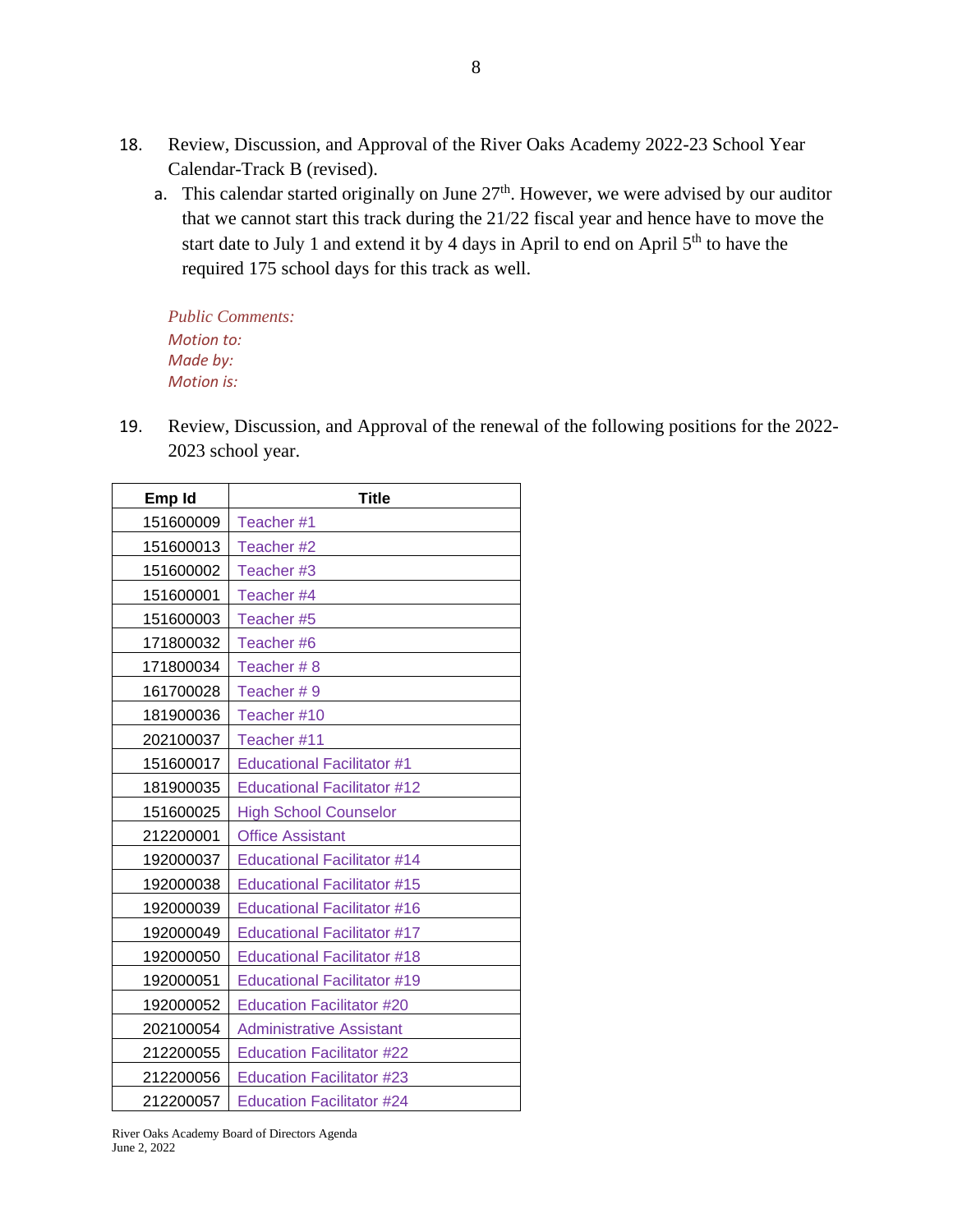- 18. Review, Discussion, and Approval of the River Oaks Academy 2022-23 School Year Calendar-Track B (revised).
	- a. This calendar started originally on June  $27<sup>th</sup>$ . However, we were advised by our auditor that we cannot start this track during the 21/22 fiscal year and hence have to move the start date to July 1 and extend it by 4 days in April to end on April  $5<sup>th</sup>$  to have the required 175 school days for this track as well.

*Public Comments: Motion to: Made by: Motion is:*

19. Review, Discussion, and Approval of the renewal of the following positions for the 2022- 2023 school year.

| Emp Id    | <b>Title</b>                       |
|-----------|------------------------------------|
| 151600009 | Teacher #1                         |
| 151600013 | Teacher #2                         |
| 151600002 | Teacher #3                         |
| 151600001 | Teacher #4                         |
| 151600003 | Teacher #5                         |
| 171800032 | Teacher #6                         |
| 171800034 | Teacher #8                         |
| 161700028 | Teacher #9                         |
| 181900036 | Teacher #10                        |
| 202100037 | Teacher #11                        |
| 151600017 | <b>Educational Facilitator #1</b>  |
| 181900035 | <b>Educational Facilitator #12</b> |
| 151600025 | <b>High School Counselor</b>       |
| 212200001 | <b>Office Assistant</b>            |
| 192000037 | <b>Educational Facilitator #14</b> |
| 192000038 | <b>Educational Facilitator #15</b> |
| 192000039 | <b>Educational Facilitator #16</b> |
| 192000049 | <b>Educational Facilitator #17</b> |
| 192000050 | <b>Educational Facilitator #18</b> |
| 192000051 | <b>Educational Facilitator #19</b> |
| 192000052 | <b>Education Facilitator #20</b>   |
| 202100054 | <b>Administrative Assistant</b>    |
| 212200055 | <b>Education Facilitator #22</b>   |
| 212200056 | <b>Education Facilitator #23</b>   |
| 212200057 | <b>Education Facilitator #24</b>   |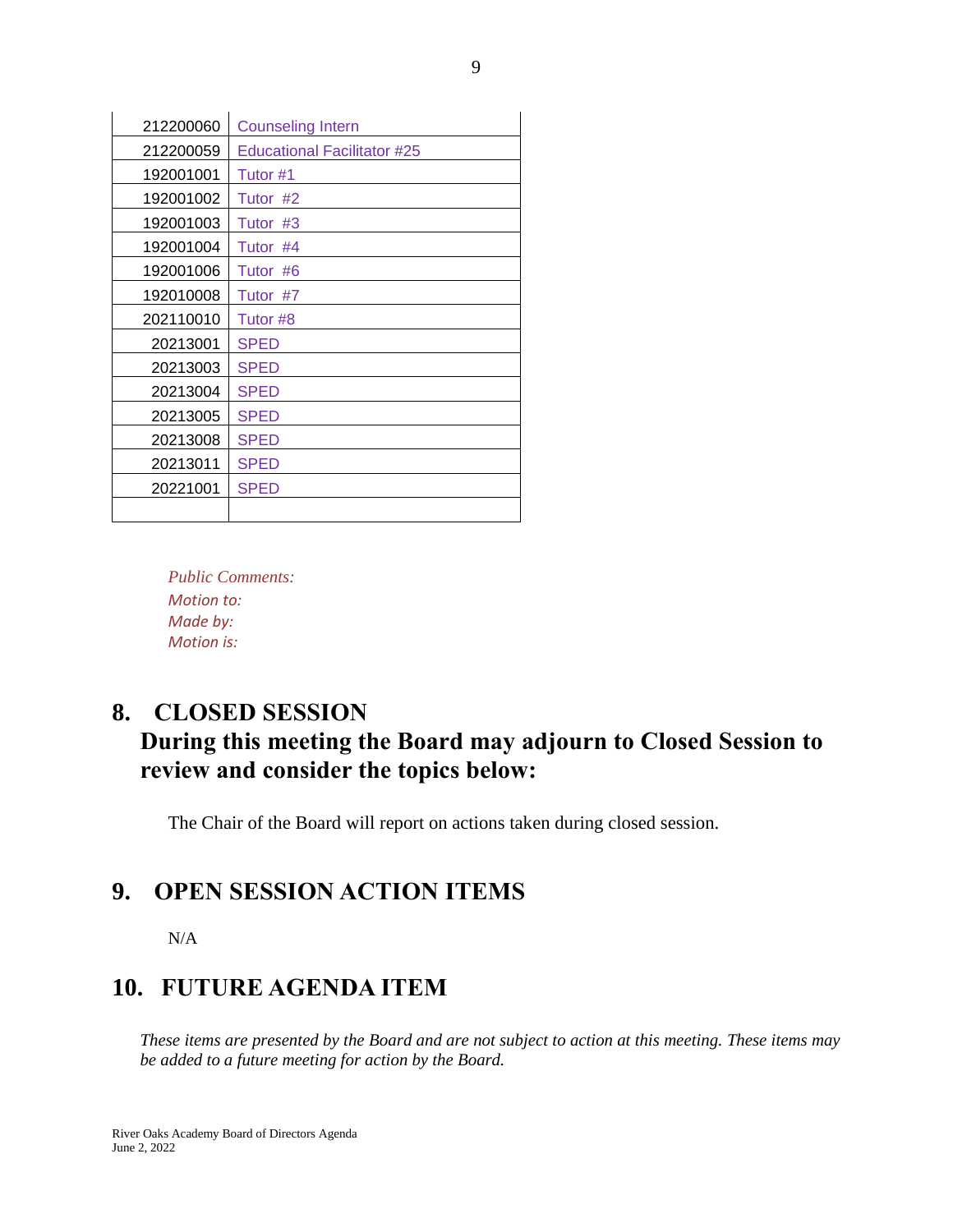| 212200060 | <b>Counseling Intern</b>    |
|-----------|-----------------------------|
| 212200059 | Educational Facilitator #25 |
| 192001001 | Tutor #1                    |
| 192001002 | Tutor #2                    |
| 192001003 | Tutor<br>#3                 |
| 192001004 | Tutor #4                    |
| 192001006 | Tutor #6                    |
| 192010008 | Tutor #7                    |
| 202110010 | Tutor #8                    |
| 20213001  | <b>SPED</b>                 |
| 20213003  | <b>SPED</b>                 |
| 20213004  | <b>SPED</b>                 |
| 20213005  | <b>SPED</b>                 |
| 20213008  | <b>SPED</b>                 |
| 20213011  | <b>SPED</b>                 |
| 20221001  | <b>SPED</b>                 |
|           |                             |

*Public Comments: Motion to: Made by: Motion is:*

### **8. CLOSED SESSION**

## **During this meeting the Board may adjourn to Closed Session to review and consider the topics below:**

The Chair of the Board will report on actions taken during closed session.

### **9. OPEN SESSION ACTION ITEMS**

N/A

### **10. FUTURE AGENDA ITEM**

*These items are presented by the Board and are not subject to action at this meeting. These items may be added to a future meeting for action by the Board.*